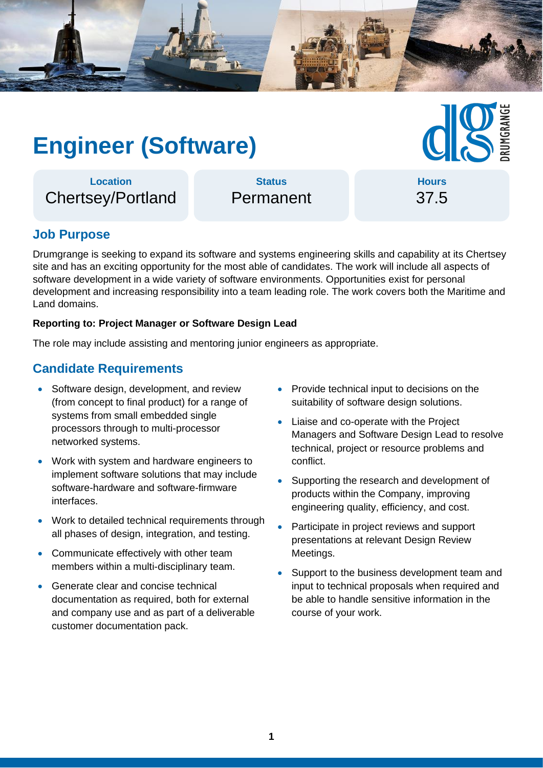

# **Engineer (Software)**

**Location** Chertsey/Portland

**Status** Permanent

**Hours** 37.5

# **Job Purpose**

Drumgrange is seeking to expand its software and systems engineering skills and capability at its Chertsey site and has an exciting opportunity for the most able of candidates. The work will include all aspects of software development in a wide variety of software environments. Opportunities exist for personal development and increasing responsibility into a team leading role. The work covers both the Maritime and Land domains.

#### **Reporting to: Project Manager or Software Design Lead**

The role may include assisting and mentoring junior engineers as appropriate.

## **Candidate Requirements**

- Software design, development, and review (from concept to final product) for a range of systems from small embedded single processors through to multi-processor networked systems.
- Work with system and hardware engineers to implement software solutions that may include software-hardware and software-firmware interfaces.
- Work to detailed technical requirements through all phases of design, integration, and testing.
- Communicate effectively with other team members within a multi-disciplinary team.
- Generate clear and concise technical documentation as required, both for external and company use and as part of a deliverable customer documentation pack.
- Provide technical input to decisions on the suitability of software design solutions.
- Liaise and co-operate with the Project Managers and Software Design Lead to resolve technical, project or resource problems and conflict.
- Supporting the research and development of products within the Company, improving engineering quality, efficiency, and cost.
- Participate in project reviews and support presentations at relevant Design Review Meetings.
- Support to the business development team and input to technical proposals when required and be able to handle sensitive information in the course of your work.